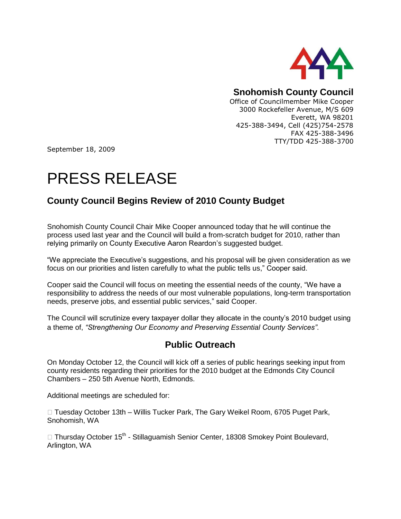

## **Snohomish County Council**

Office of Councilmember Mike Cooper 3000 Rockefeller Avenue, M/S 609 Everett, WA 98201 425-388-3494, Cell (425)754-2578 FAX 425-388-3496 TTY/TDD 425-388-3700

September 18, 2009

## PRESS RELEASE

## **County Council Begins Review of 2010 County Budget**

Snohomish County Council Chair Mike Cooper announced today that he will continue the process used last year and the Council will build a from-scratch budget for 2010, rather than relying primarily on County Executive Aaron Reardon's suggested budget.

"We appreciate the Executive's suggestions, and his proposal will be given consideration as we focus on our priorities and listen carefully to what the public tells us," Cooper said.

Cooper said the Council will focus on meeting the essential needs of the county, "We have a responsibility to address the needs of our most vulnerable populations, long-term transportation needs, preserve jobs, and essential public services," said Cooper.

The Council will scrutinize every taxpayer dollar they allocate in the county's 2010 budget using a theme of, *"Strengthening Our Economy and Preserving Essential County Services"*.

## **Public Outreach**

On Monday October 12, the Council will kick off a series of public hearings seeking input from county residents regarding their priorities for the 2010 budget at the Edmonds City Council Chambers – 250 5th Avenue North, Edmonds.

Additional meetings are scheduled for:

 $\Box$  Tuesday October 13th – Willis Tucker Park, The Gary Weikel Room, 6705 Puget Park, Snohomish, WA

□ Thursday October 15<sup>th</sup> - Stillaguamish Senior Center, 18308 Smokey Point Boulevard, Arlington, WA